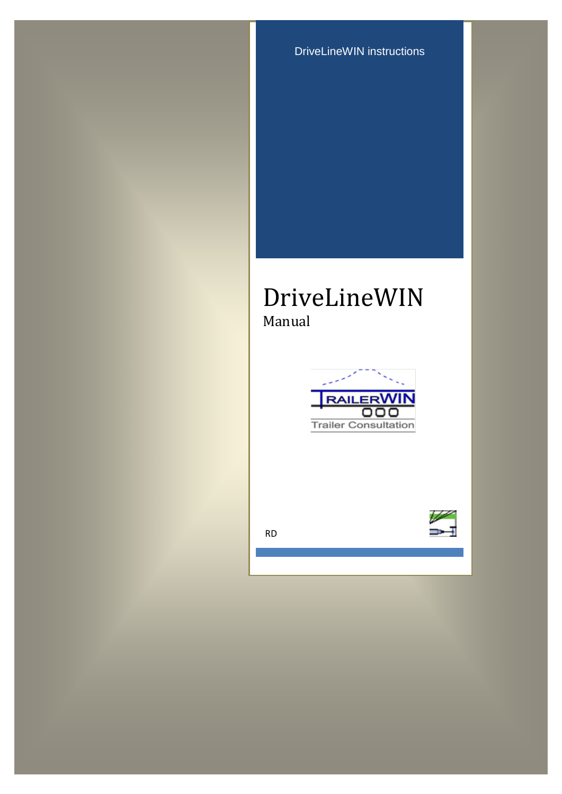DriveLineWIN instructions

# DriveLineWIN Manual



RD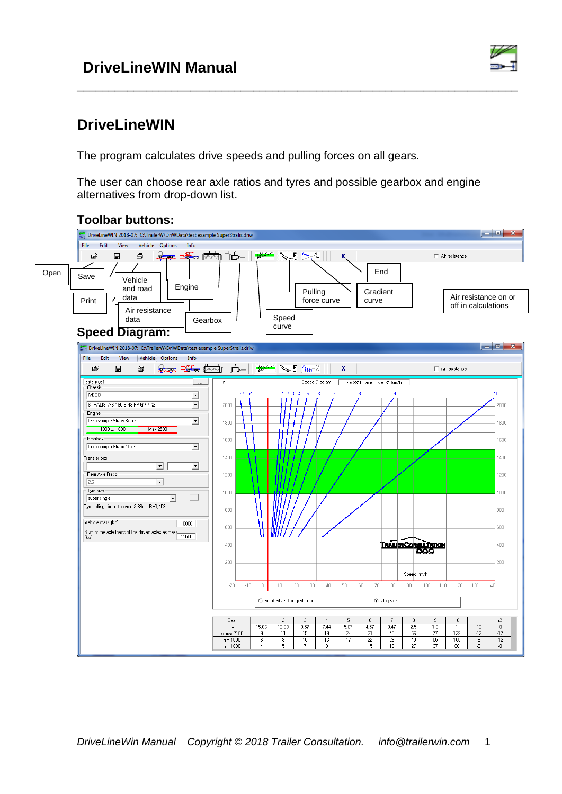

# **DriveLineWIN**

The program calculates drive speeds and pulling forces on all gears.

The user can choose rear axle ratios and tyres and possible gearbox and engine alternatives from drop-down list.

\_\_\_\_\_\_\_\_\_\_\_\_\_\_\_\_\_\_\_\_\_\_\_\_\_\_\_\_\_\_\_\_\_\_\_\_\_\_\_\_\_\_\_\_\_\_\_\_\_\_\_\_\_\_\_\_\_\_\_\_\_\_\_\_\_\_\_\_\_\_



### **Toolbar buttons:**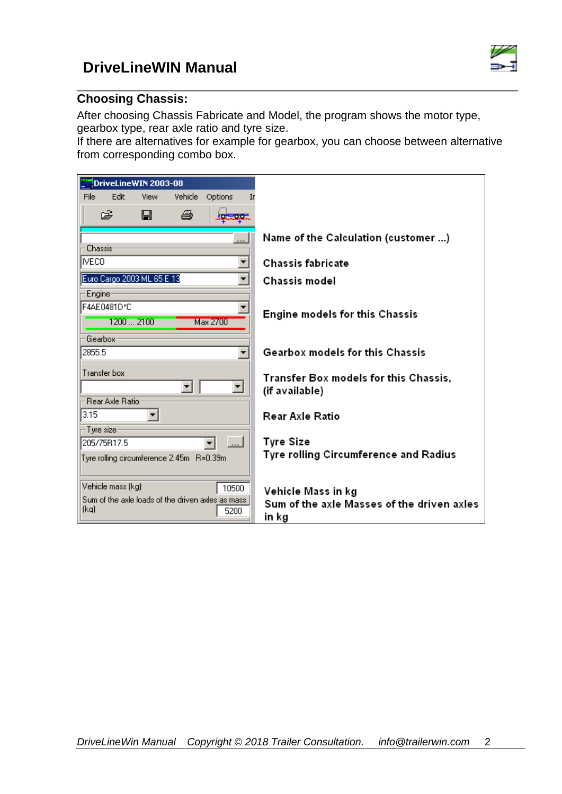

#### \_\_\_\_\_\_\_\_\_\_\_\_\_\_\_\_\_\_\_\_\_\_\_\_\_\_\_\_\_\_\_\_\_\_\_\_\_\_\_\_\_\_\_\_\_\_\_\_\_\_\_\_\_\_\_\_\_\_\_\_\_\_\_\_\_\_\_\_\_\_ **Choosing Chassis:**

After choosing Chassis Fabricate and Model, the program shows the motor type, gearbox type, rear axle ratio and tyre size.

If there are alternatives for example for gearbox, you can choose between alternative from corresponding combo box.

| DriveLineWIN 2003-08                              |                                                         |
|---------------------------------------------------|---------------------------------------------------------|
| File<br>Edit<br>Vehicle<br>Options<br>View        | Iг                                                      |
| ê<br>$\blacksquare$<br>ê,<br>والألافي والمتوا     |                                                         |
|                                                   | Name of the Calculation (customer )                     |
| Chassis <sup>-</sup><br><b>IVECO</b>              | Chassis fabricate                                       |
|                                                   |                                                         |
| Euro Cargo 2003 ML 65 E 13                        | Chassis model                                           |
| Engine-                                           |                                                         |
| F4AE0481D*C                                       | Engine models for this Chassis                          |
| 12002100<br>Max 2700                              |                                                         |
| Gearbox-                                          |                                                         |
| 2855.5                                            | Gearbox models for this Chassis                         |
| Transfer box                                      |                                                         |
|                                                   | Transfer Box models for this Chassis,<br>(if available) |
| Rear Axle Ration                                  |                                                         |
| 3.15                                              | Rear Axle Ratio                                         |
| Tyre size:                                        |                                                         |
| 205/75R17.5                                       | <b>Tyre Size</b>                                        |
| Tyre rolling circumference 2.45m R=0.39m          | Tyre rolling Circumference and Radius                   |
|                                                   |                                                         |
| Vehicle mass [kg]<br>10500                        | Vehicle Mass in kg                                      |
| Sum of the axle loads of the driven axles as mass | Sum of the axle Masses of the driven axles              |
| (ka)<br>5200                                      | in kg                                                   |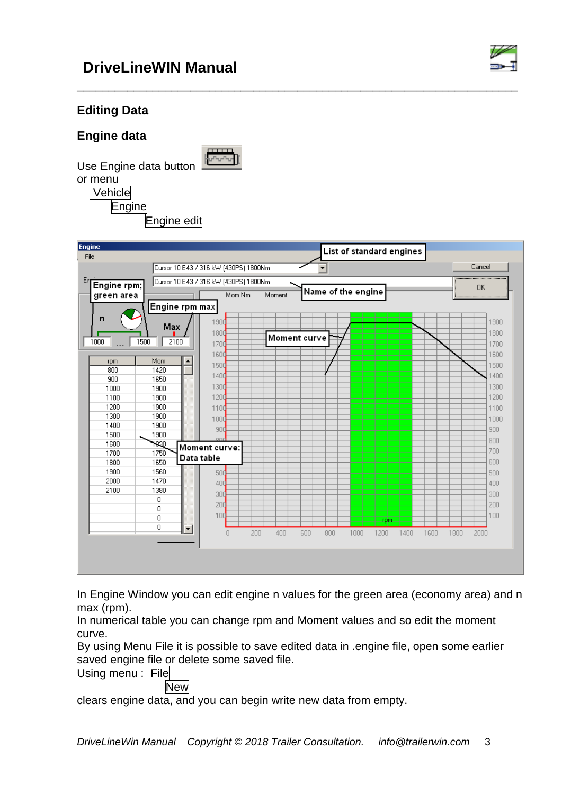

### **Editing Data**

**Engine data**

Use Engine data button



\_\_\_\_\_\_\_\_\_\_\_\_\_\_\_\_\_\_\_\_\_\_\_\_\_\_\_\_\_\_\_\_\_\_\_\_\_\_\_\_\_\_\_\_\_\_\_\_\_\_\_\_\_\_\_\_\_\_\_\_\_\_\_\_\_\_\_\_\_\_

In Engine Window you can edit engine n values for the green area (economy area) and n max (rpm).

In numerical table you can change rpm and Moment values and so edit the moment curve.

By using Menu File it is possible to save edited data in .engine file, open some earlier saved engine file or delete some saved file.

Using menu : File

**New** 

clears engine data, and you can begin write new data from empty.

*DriveLineWin Manual Copyright © 2018 Trailer Consultation. info@trailerwin.com* 3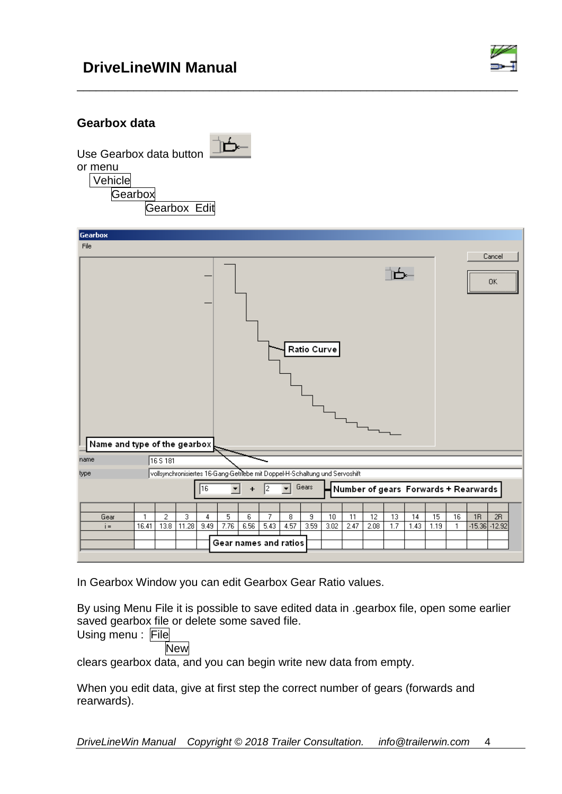

#### **Gearbox data**

Use Gearbox data button or menu



 Vehicle **Gearbox** 

| <b>AIDOX</b> |        |      |
|--------------|--------|------|
|              | earbox | Fdit |

| Gearbox                      |            |           |            |           |                                                                             |                      |           |           |             |            |            |                                      |           |            |            |         |    |                        |  |
|------------------------------|------------|-----------|------------|-----------|-----------------------------------------------------------------------------|----------------------|-----------|-----------|-------------|------------|------------|--------------------------------------|-----------|------------|------------|---------|----|------------------------|--|
| File                         |            |           |            |           |                                                                             |                      |           |           |             |            |            |                                      |           |            |            |         |    |                        |  |
|                              |            |           |            |           |                                                                             |                      |           |           |             |            |            |                                      |           |            |            |         |    | Cancel                 |  |
|                              |            |           |            |           |                                                                             |                      |           |           |             |            |            |                                      |           |            |            |         |    |                        |  |
|                              |            |           |            |           |                                                                             |                      |           |           |             |            |            |                                      |           |            |            |         |    | 0K                     |  |
|                              |            |           |            |           |                                                                             |                      |           |           |             |            |            |                                      |           |            |            |         |    |                        |  |
|                              |            |           |            |           |                                                                             |                      |           |           |             |            |            |                                      |           |            |            |         |    |                        |  |
|                              |            |           |            |           |                                                                             |                      |           |           |             |            |            |                                      |           |            |            |         |    |                        |  |
|                              |            |           |            |           |                                                                             |                      |           |           |             |            |            |                                      |           |            |            |         |    |                        |  |
|                              |            |           |            |           |                                                                             |                      |           |           | Ratio Curve |            |            |                                      |           |            |            |         |    |                        |  |
|                              |            |           |            |           |                                                                             |                      |           |           |             |            |            |                                      |           |            |            |         |    |                        |  |
|                              |            |           |            |           |                                                                             |                      |           |           |             |            |            |                                      |           |            |            |         |    |                        |  |
|                              |            |           |            |           |                                                                             |                      |           |           |             |            |            |                                      |           |            |            |         |    |                        |  |
|                              |            |           |            |           |                                                                             |                      |           |           |             |            |            |                                      |           |            |            |         |    |                        |  |
|                              |            |           |            |           |                                                                             |                      |           |           |             |            |            |                                      |           |            |            |         |    |                        |  |
|                              |            |           |            |           |                                                                             |                      |           |           |             |            |            |                                      |           |            |            |         |    |                        |  |
| Name and type of the gearbox |            |           |            |           |                                                                             |                      |           |           |             |            |            |                                      |           |            |            |         |    |                        |  |
| name                         |            | 16 S 181  |            |           |                                                                             |                      |           |           |             |            |            |                                      |           |            |            |         |    |                        |  |
| type                         |            |           |            |           | vollsynchronisiertes 16-Gang-Getriebe mit Doppel-H-Schaltung und Servoshift |                      |           |           |             |            |            |                                      |           |            |            |         |    |                        |  |
|                              |            |           |            | 16        | $\blacktriangledown$                                                        | $\ddot{\phantom{1}}$ | 2         |           | Gears       |            |            | Number of gears Forwards + Rearwards |           |            |            |         |    |                        |  |
|                              |            |           |            |           |                                                                             |                      |           |           |             |            |            |                                      |           |            |            |         |    |                        |  |
| Gear<br>$i =$                | 1<br>16.41 | 2<br>13.8 | 3<br>11.28 | 4<br>9.49 | 5<br>7.76                                                                   | 6<br>6.56            | 7<br>5.43 | 8<br>4.57 | 9<br>3.59   | 10<br>3.02 | 11<br>2.47 | 12<br>2.08                           | 13<br>1.7 | 14<br>1.43 | 15<br>1.19 | 16<br>1 | 1R | 2R<br>$-15.36 - 12.92$ |  |
|                              |            |           |            |           |                                                                             |                      |           |           |             |            |            |                                      |           |            |            |         |    |                        |  |
|                              |            |           |            |           | Gear names and ratios                                                       |                      |           |           |             |            |            |                                      |           |            |            |         |    |                        |  |
|                              |            |           |            |           |                                                                             |                      |           |           |             |            |            |                                      |           |            |            |         |    |                        |  |

\_\_\_\_\_\_\_\_\_\_\_\_\_\_\_\_\_\_\_\_\_\_\_\_\_\_\_\_\_\_\_\_\_\_\_\_\_\_\_\_\_\_\_\_\_\_\_\_\_\_\_\_\_\_\_\_\_\_\_\_\_\_\_\_\_\_\_\_\_\_

In Gearbox Window you can edit Gearbox Gear Ratio values.

By using Menu File it is possible to save edited data in .gearbox file, open some earlier saved gearbox file or delete some saved file.

Using menu : File

**New** 

clears gearbox data, and you can begin write new data from empty.

When you edit data, give at first step the correct number of gears (forwards and rearwards).

*DriveLineWin Manual Copyright © 2018 Trailer Consultation. info@trailerwin.com* 4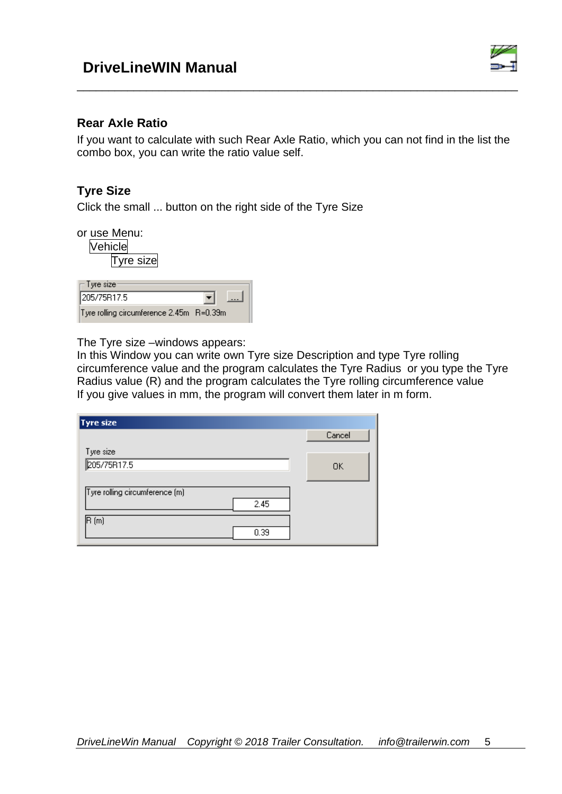

#### **Rear Axle Ratio**

If you want to calculate with such Rear Axle Ratio, which you can not find in the list the combo box, you can write the ratio value self.

\_\_\_\_\_\_\_\_\_\_\_\_\_\_\_\_\_\_\_\_\_\_\_\_\_\_\_\_\_\_\_\_\_\_\_\_\_\_\_\_\_\_\_\_\_\_\_\_\_\_\_\_\_\_\_\_\_\_\_\_\_\_\_\_\_\_\_\_\_\_

#### **Tyre Size**

Click the small ... button on the right side of the Tyre Size

or use Menu:

**Vehicle** 

Tyre size

| $\sqsubset$ Tyre size:                   |  |
|------------------------------------------|--|
| 205/75R17.5                              |  |
| Tyre rolling circumference 2.45m R=0.39m |  |

The Tyre size –windows appears:

In this Window you can write own Tyre size Description and type Tyre rolling circumference value and the program calculates the Tyre Radius or you type the Tyre Radius value (R) and the program calculates the Tyre rolling circumference value If you give values in mm, the program will convert them later in m form.

| Tyre size                      |        |
|--------------------------------|--------|
|                                | Cancel |
| Tyre size                      |        |
| 205/75R17.5                    | 0K     |
|                                |        |
| Tyre rolling circumference (m) |        |
| 2.45                           |        |
| (R (m                          |        |
| 0.39                           |        |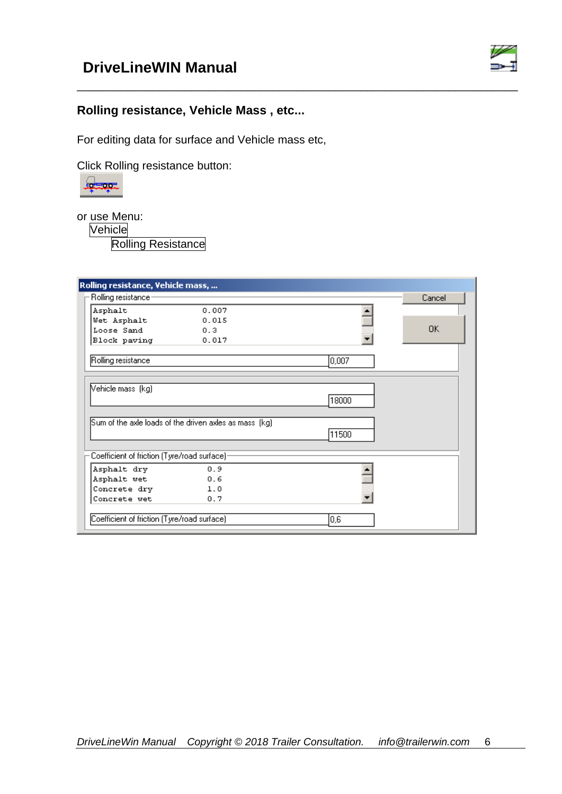

### **Rolling resistance, Vehicle Mass , etc...**

For editing data for surface and Vehicle mass etc,

Click Rolling resistance button:



or use Menu:

Vehicle

Rolling Resistance

| Rolling resistance, Vehicle mass,            |                                                        |       |        |
|----------------------------------------------|--------------------------------------------------------|-------|--------|
| Rolling resistance-                          |                                                        |       | Cancel |
| Asphalt                                      | 0.007                                                  |       |        |
| Wet Asphalt                                  | 0.015                                                  |       |        |
| Loose Sand                                   | 0.3                                                    |       | OK.    |
| Block paving                                 | 0.017                                                  |       |        |
| Rolling resistance                           |                                                        | 0,007 |        |
| Vehicle mass (kg)                            |                                                        | 18000 |        |
|                                              |                                                        |       |        |
|                                              | Sum of the axle loads of the driven axles as mass (kg) |       |        |
|                                              |                                                        | 11500 |        |
| Coefficient of friction (Tyre/road surface)- |                                                        |       |        |
| Asphalt dry                                  | 0.9                                                    |       |        |
| Asphalt wet                                  | 0.6                                                    |       |        |
| Concrete dry                                 | 1.0                                                    |       |        |
| Concrete wet                                 | 0.7                                                    |       |        |
| Coefficient of friction (Tyre/road surface)  |                                                        | 0,6   |        |

\_\_\_\_\_\_\_\_\_\_\_\_\_\_\_\_\_\_\_\_\_\_\_\_\_\_\_\_\_\_\_\_\_\_\_\_\_\_\_\_\_\_\_\_\_\_\_\_\_\_\_\_\_\_\_\_\_\_\_\_\_\_\_\_\_\_\_\_\_\_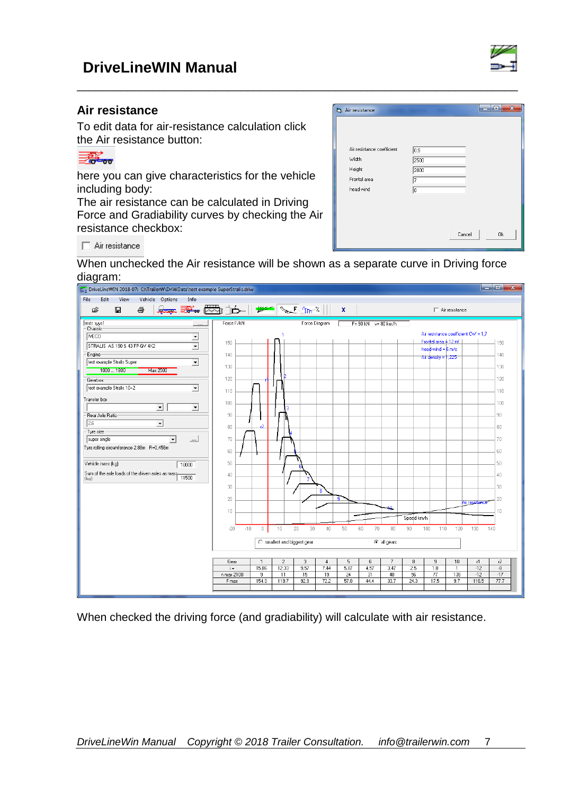#### **Air resistance**

To edit data for air-resistance calculation click the Air resistance button:

#### 

here you can give characteristics for the vehicle including body:

The air resistance can be calculated in Driving Force and Gradiability curves by checking the Air resistance checkbox:

| Air resistance             |                  |        | $\overline{\mathbf{x}}$<br>ه ا د |  |
|----------------------------|------------------|--------|----------------------------------|--|
|                            |                  |        |                                  |  |
|                            |                  |        |                                  |  |
|                            |                  |        |                                  |  |
| Air resistance coefficient | $\overline{0.9}$ |        |                                  |  |
| Width                      | 2500             |        |                                  |  |
| Height                     | 2800             |        |                                  |  |
| Frontal area               | 7                |        |                                  |  |
| head-wind                  | o                |        |                                  |  |
|                            |                  |        |                                  |  |
|                            |                  |        |                                  |  |
|                            |                  |        |                                  |  |
|                            |                  |        |                                  |  |
|                            |                  | Cancel | 0k                               |  |
|                            |                  |        |                                  |  |

 $\Box$  Air resistance

When unchecked the Air resistance will be shown as a separate curve in Driving force diagram:

\_\_\_\_\_\_\_\_\_\_\_\_\_\_\_\_\_\_\_\_\_\_\_\_\_\_\_\_\_\_\_\_\_\_\_\_\_\_\_\_\_\_\_\_\_\_\_\_\_\_\_\_\_\_\_\_\_\_\_\_\_\_\_\_\_\_\_\_\_\_



When checked the driving force (and gradiability) will calculate with air resistance.

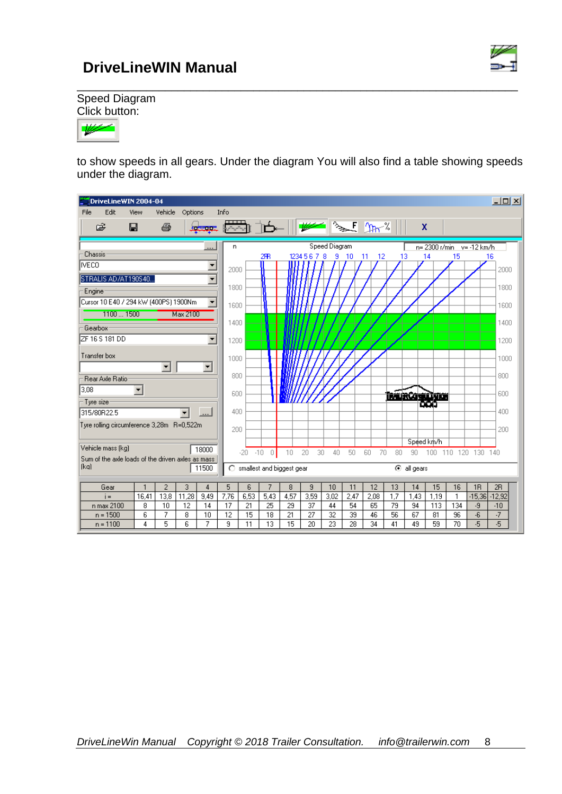

\_\_\_\_\_\_\_\_\_\_\_\_\_\_\_\_\_\_\_\_\_\_\_\_\_\_\_\_\_\_\_\_\_\_\_\_\_\_\_\_\_\_\_\_\_\_\_\_\_\_\_\_\_\_\_\_\_\_\_\_\_\_\_\_\_\_\_\_\_\_ Speed Diagram Click button:



to show speeds in all gears. Under the diagram You will also find a table showing speeds under the diagram.

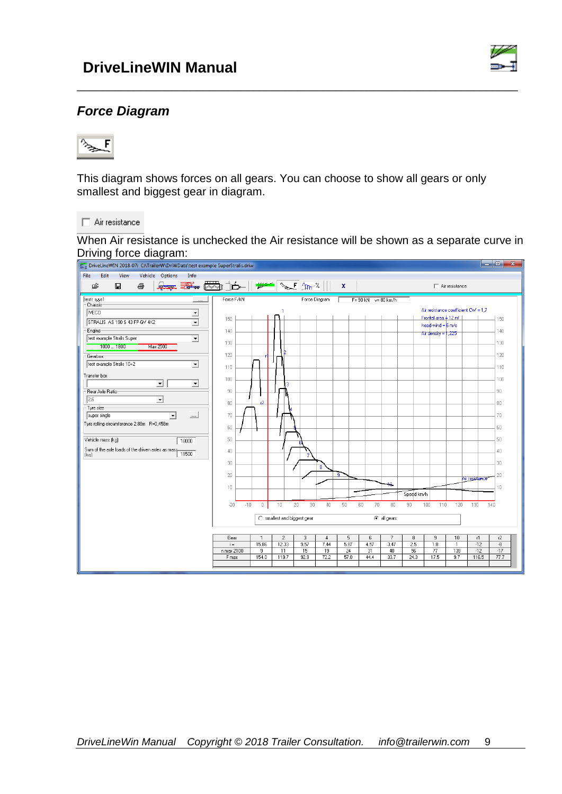

### *Force Diagram*



This diagram shows forces on all gears. You can choose to show all gears or only smallest and biggest gear in diagram.

\_\_\_\_\_\_\_\_\_\_\_\_\_\_\_\_\_\_\_\_\_\_\_\_\_\_\_\_\_\_\_\_\_\_\_\_\_\_\_\_\_\_\_\_\_\_\_\_\_\_\_\_\_\_\_\_\_\_\_\_\_\_\_\_\_\_\_\_\_\_

Air resistance

When Air resistance is unchecked the Air resistance will be shown as a separate curve in Driving force diagram:<br> **Eq** DriveLineWIN 2018-07: C:\TrailerW\DriWData\test example SuperStralis.driw

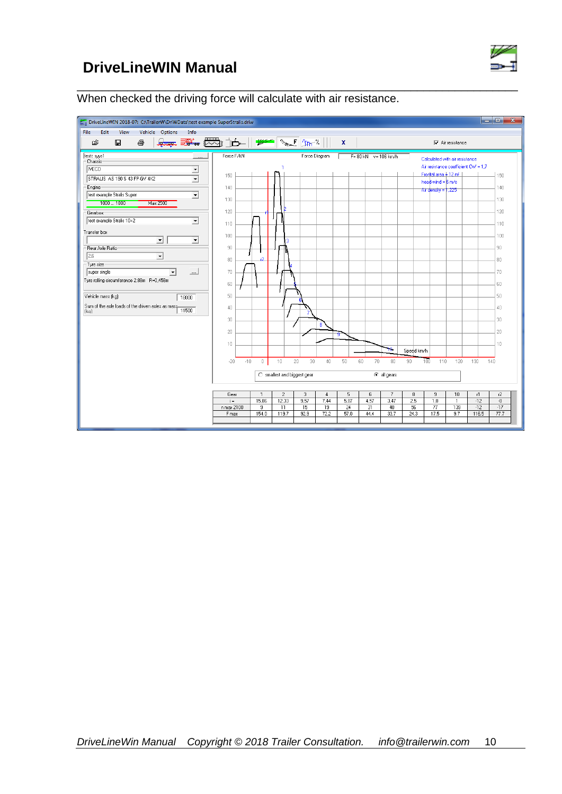

\_\_\_\_\_\_\_\_\_\_\_\_\_\_\_\_\_\_\_\_\_\_\_\_\_\_\_\_\_\_\_\_\_\_\_\_\_\_\_\_\_\_\_\_\_\_\_\_\_\_\_\_\_\_\_\_\_\_\_\_\_\_\_\_\_\_\_\_\_\_ When checked the driving force will calculate with air resistance.

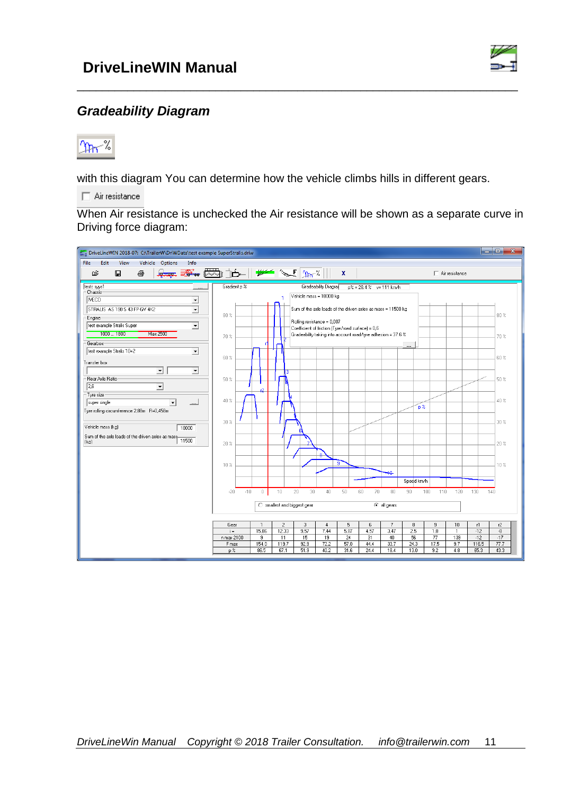

### *Gradeability Diagram*



with this diagram You can determine how the vehicle climbs hills in different gears.

 $\Box$  Air resistance

When Air resistance is unchecked the Air resistance will be shown as a separate curve in Driving force diagram:

\_\_\_\_\_\_\_\_\_\_\_\_\_\_\_\_\_\_\_\_\_\_\_\_\_\_\_\_\_\_\_\_\_\_\_\_\_\_\_\_\_\_\_\_\_\_\_\_\_\_\_\_\_\_\_\_\_\_\_\_\_\_\_\_\_\_\_\_\_\_